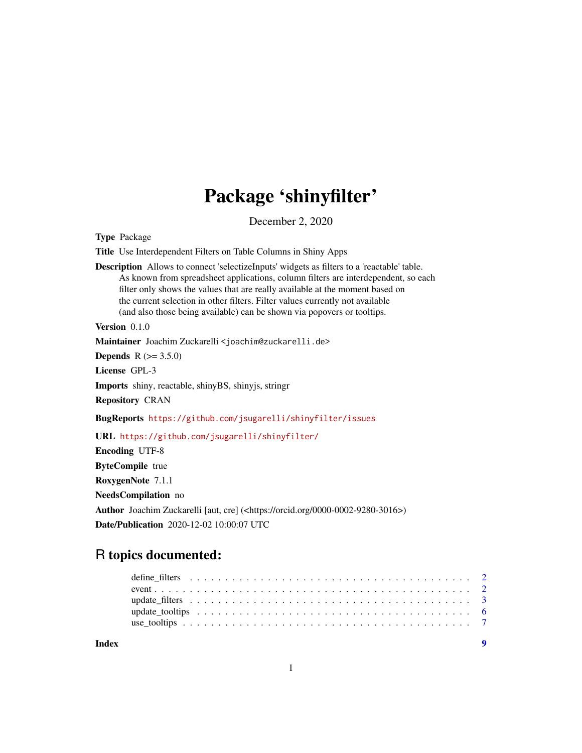# Package 'shinyfilter'

December 2, 2020

Type Package

Title Use Interdependent Filters on Table Columns in Shiny Apps

Description Allows to connect 'selectizeInputs' widgets as filters to a 'reactable' table. As known from spreadsheet applications, column filters are interdependent, so each filter only shows the values that are really available at the moment based on the current selection in other filters. Filter values currently not available (and also those being available) can be shown via popovers or tooltips.

Version 0.1.0

Maintainer Joachim Zuckarelli <joachim@zuckarelli.de>

**Depends**  $R (= 3.5.0)$ 

License GPL-3

Imports shiny, reactable, shinyBS, shinyjs, stringr

Repository CRAN

BugReports <https://github.com/jsugarelli/shinyfilter/issues>

URL <https://github.com/jsugarelli/shinyfilter/>

Encoding UTF-8

ByteCompile true

RoxygenNote 7.1.1

NeedsCompilation no

Author Joachim Zuckarelli [aut, cre] (<https://orcid.org/0000-0002-9280-3016>) Date/Publication 2020-12-02 10:00:07 UTC

# R topics documented:

| Index | $\mathbf o$ |
|-------|-------------|
|       |             |
|       |             |
|       |             |
|       |             |
|       |             |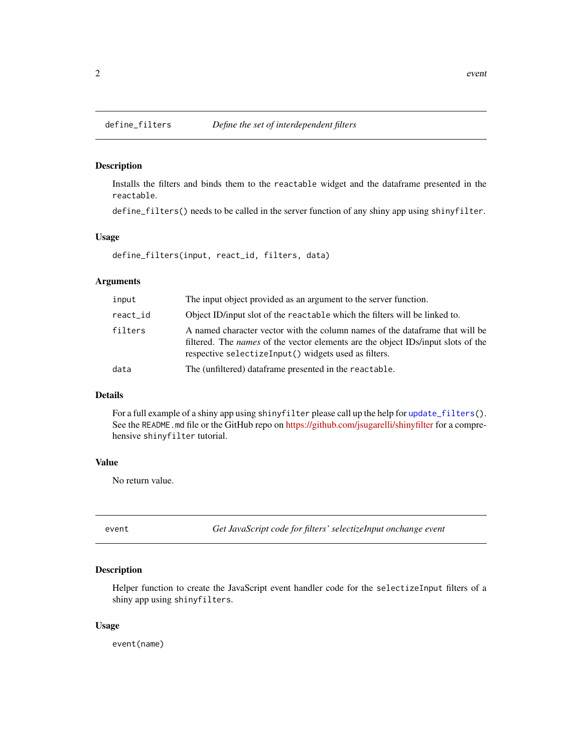#### Description

Installs the filters and binds them to the reactable widget and the dataframe presented in the reactable.

define\_filters() needs to be called in the server function of any shiny app using shinyfilter.

#### Usage

define\_filters(input, react\_id, filters, data)

#### Arguments

| input    | The input object provided as an argument to the server function.                                                                                                                                                                 |
|----------|----------------------------------------------------------------------------------------------------------------------------------------------------------------------------------------------------------------------------------|
| react_id | Object ID/input slot of the reactable which the filters will be linked to.                                                                                                                                                       |
| filters  | A named character vector with the column names of the data frame that will be<br>filtered. The <i>names</i> of the vector elements are the object IDs/input slots of the<br>respective selectizeInput() widgets used as filters. |
| data     | The (unfiltered) dataframe presented in the reactable.                                                                                                                                                                           |

#### Details

For a full example of a shiny app using shinyfilter please call up the help for [update\\_filters\(](#page-2-1)). See the README.md file or the GitHub repo on <https://github.com/jsugarelli/shinyfilter> for a comprehensive shinyfilter tutorial.

#### Value

No return value.

event *Get JavaScript code for filters' selectizeInput onchange event*

#### Description

Helper function to create the JavaScript event handler code for the selectizeInput filters of a shiny app using shinyfilters.

#### Usage

event(name)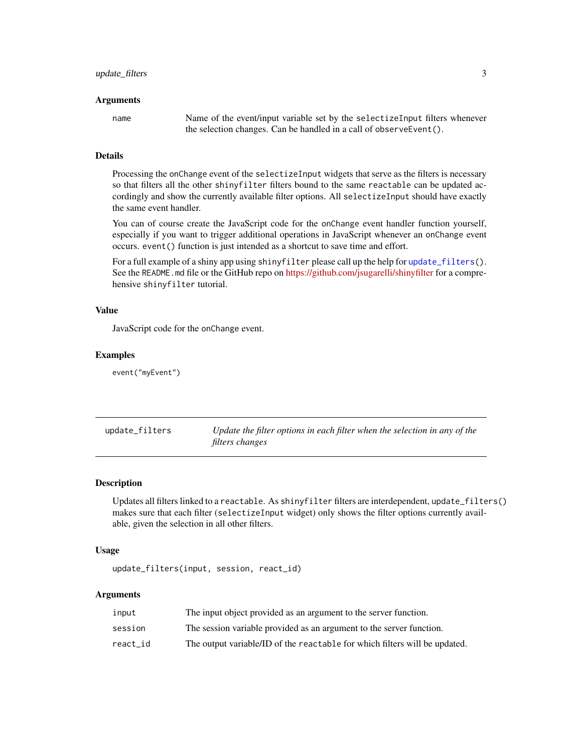#### <span id="page-2-0"></span>Arguments

name Name of the event/input variable set by the selectizeInput filters whenever the selection changes. Can be handled in a call of observeEvent().

# Details

Processing the onChange event of the selectizeInput widgets that serve as the filters is necessary so that filters all the other shinyfilter filters bound to the same reactable can be updated accordingly and show the currently available filter options. All selectizeInput should have exactly the same event handler.

You can of course create the JavaScript code for the onChange event handler function yourself, especially if you want to trigger additional operations in JavaScript whenever an onChange event occurs. event() function is just intended as a shortcut to save time and effort.

For a full example of a shiny app using shinyfilter please call up the help for [update\\_filters\(](#page-2-1)). See the README. md file or the GitHub repo on <https://github.com/jsugarelli/shinyfilter> for a comprehensive shinyfilter tutorial.

#### Value

JavaScript code for the onChange event.

#### Examples

event("myEvent")

<span id="page-2-1"></span>

| update_filters | Update the filter options in each filter when the selection in any of the |
|----------------|---------------------------------------------------------------------------|
|                | filters changes                                                           |

#### Description

Updates all filters linked to a reactable. As shinyfilter filters are interdependent, update\_filters() makes sure that each filter (selectizeInput widget) only shows the filter options currently available, given the selection in all other filters.

#### Usage

update\_filters(input, session, react\_id)

#### Arguments

| input    | The input object provided as an argument to the server function.           |
|----------|----------------------------------------------------------------------------|
| session  | The session variable provided as an argument to the server function.       |
| react id | The output variable/ID of the reactable for which filters will be updated. |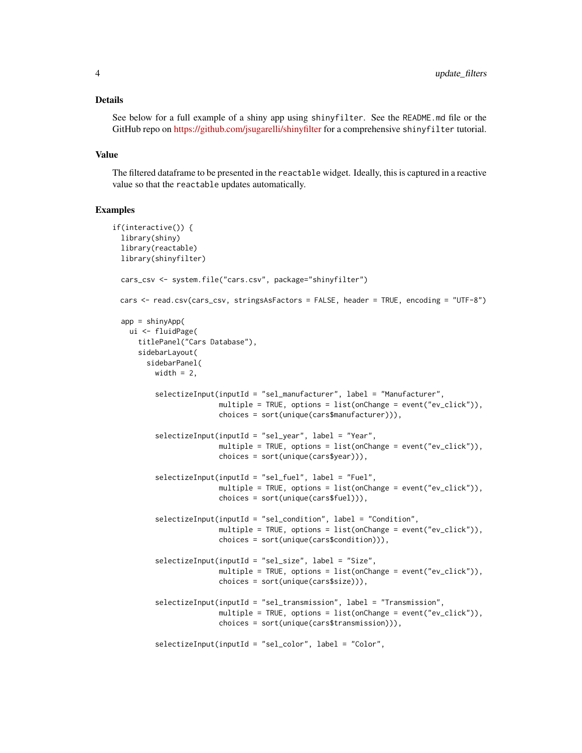#### Details

See below for a full example of a shiny app using shinyfilter. See the README.md file or the GitHub repo on <https://github.com/jsugarelli/shinyfilter> for a comprehensive shinyfilter tutorial.

#### Value

The filtered dataframe to be presented in the reactable widget. Ideally, this is captured in a reactive value so that the reactable updates automatically.

#### Examples

```
if(interactive()) {
 library(shiny)
 library(reactable)
 library(shinyfilter)
 cars_csv <- system.file("cars.csv", package="shinyfilter")
 cars <- read.csv(cars_csv, stringsAsFactors = FALSE, header = TRUE, encoding = "UTF-8")
 app = shipui <- fluidPage(
     titlePanel("Cars Database"),
     sidebarLayout(
       sidebarPanel(
         width = 2,
          selectizeInput(inputId = "sel_manufacturer", label = "Manufacturer",
                        multiple = TRUE, options = list(onChange = event("ev_click")),
                        choices = sort(unique(cars$manufacturer))),
          selectizeInput(inputId = "sel_year", label = "Year",
                         multiple = TRUE, options = list(onChange = event("ev_click")),
                        choices = sort(unique(cars$year))),
          selectizeInput(inputId = "sel_fuel", label = "Fuel",
                         multiple = TRUE, options = list(onChange = event("ev_click")),
                        choices = sort(unique(cars$fuel))),
          selectizeInput(inputId = "sel_condition", label = "Condition",
                         multiple = TRUE, options = list(onChange = event("ev_click")),
                        choices = sort(unique(cars$condition))),
          selectizeInput(inputId = "sel_size", label = "Size",
                         multiple = TRUE, options = list(onChange = event("ev_click")),
                        choices = sort(unique(cars$size))),
          selectizeInput(inputId = "sel_transmission", label = "Transmission",
                         multiple = TRUE, options = list(onChange = event("ev_click")),
                        choices = sort(unique(cars$transmission))),
          selectizeInput(inputId = "sel_color", label = "Color",
```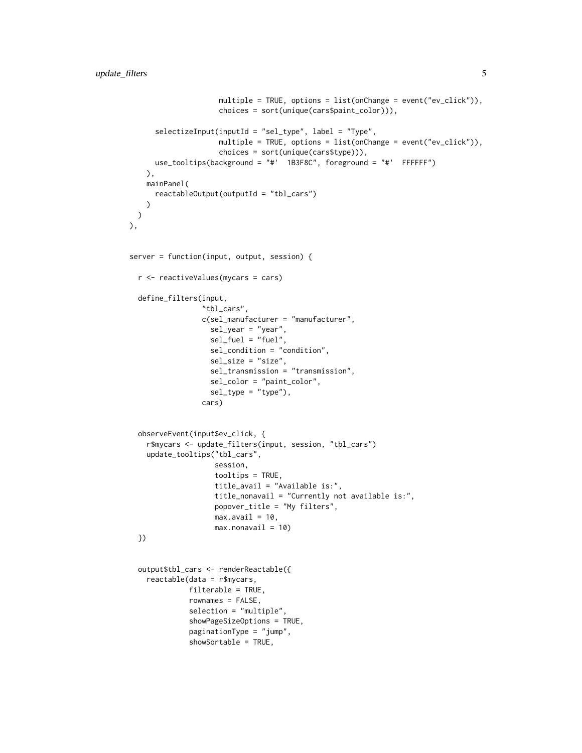```
multiple = TRUE, options = list(onChange = event("ev_click")),
                     choices = sort(unique(cars$paint_color))),
      selectizeInput(inputId = "sel_type", label = "Type",
                     multiple = TRUE, options = list(onChange = event("ev_click")),
                     choices = sort(unique(cars$type))),
     use_tooltips(background = "#' 1B3F8C", foreground = "#' FFFFFF")
   ),
   mainPanel(
     reactableOutput(outputId = "tbl_cars")
   )
 )
),
server = function(input, output, session) {
  r <- reactiveValues(mycars = cars)
  define_filters(input,
                 "tbl_cars",
                 c(sel_manufacturer = "manufacturer",
                   sel_year = "year",
                   sel_fuel = "fuel",
                   sel_condition = "condition",
                   sel_size = "size",
                   sel_transmission = "transmission",
                   sel_color = "paint_color",
                   sel_type = "type"),
                 cars)
  observeEvent(input$ev_click, {
    r$mycars <- update_filters(input, session, "tbl_cars")
    update_tooltips("tbl_cars",
                    session,
                    tooltips = TRUE,
                    title_avail = "Available is:",
                    title_nonavail = "Currently not available is:",
                    popover_title = "My filters",
                    max.avail = 10,
                    max.nonavail = 10})
  output$tbl_cars <- renderReactable({
    reactable(data = r$mycars,
              filterable = TRUE,
              rownames = FALSE,
              selection = "multiple",
              showPageSizeOptions = TRUE,
              paginationType = "jump",
              showSortable = TRUE,
```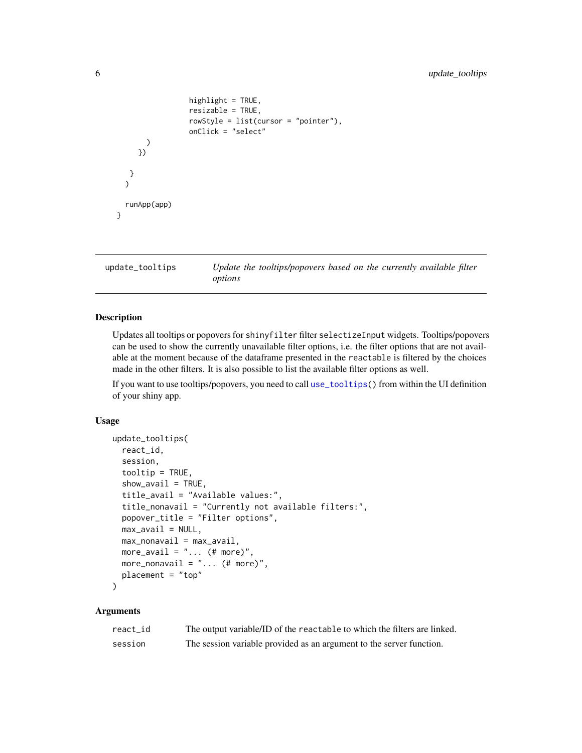```
highlight = TRUE,
                 resizable = TRUE,
                 rowStyle = list(cursor = "pointer"),
                 onClick = "select"
      )
     })
   }
  )
 runApp(app)
}
```
<span id="page-5-1"></span>update\_tooltips *Update the tooltips/popovers based on the currently available filter options*

#### Description

Updates all tooltips or popovers for shinyfilter filter selectizeInput widgets. Tooltips/popovers can be used to show the currently unavailable filter options, i.e. the filter options that are not available at the moment because of the dataframe presented in the reactable is filtered by the choices made in the other filters. It is also possible to list the available filter options as well.

If you want to use tooltips/popovers, you need to call [use\\_tooltips\(](#page-6-1)) from within the UI definition of your shiny app.

#### Usage

```
update_tooltips(
 react_id,
  session,
  tooltip = TRUE,
  show_avail = TRUE,title_avail = "Available values:",
  title_nonavail = "Currently not available filters:",
  popover_title = "Filter options",
 max_avail = NULL,max_nonavail = max_avail,
 more_avail = "... (# more)"
 more_nonavail = "... (# more)",
 placement = "top"
\mathcal{L}
```
# Arguments

| react id | The output variable/ID of the reactable to which the filters are linked. |
|----------|--------------------------------------------------------------------------|
| session  | The session variable provided as an argument to the server function.     |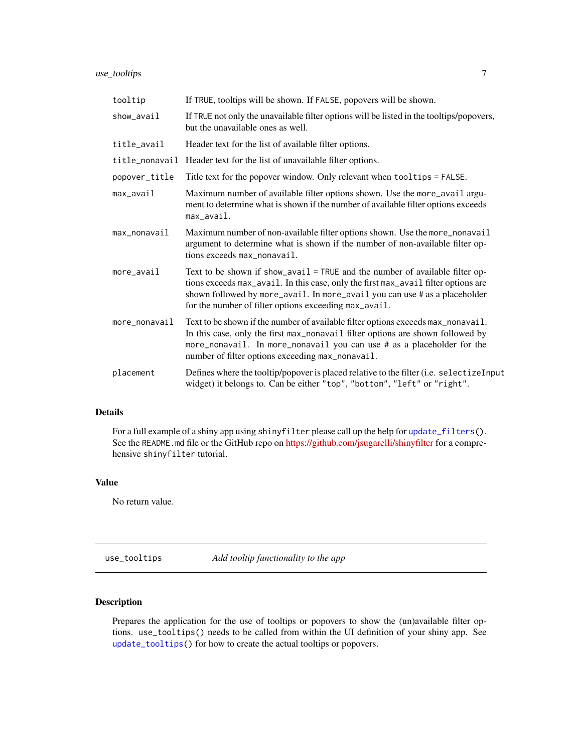# <span id="page-6-0"></span>use\_tooltips 7

| tooltip       | If TRUE, tooltips will be shown. If FALSE, popovers will be shown.                                                                                                                                                                                                                                        |
|---------------|-----------------------------------------------------------------------------------------------------------------------------------------------------------------------------------------------------------------------------------------------------------------------------------------------------------|
| show_avail    | If TRUE not only the unavailable filter options will be listed in the tooltips/popovers,<br>but the unavailable ones as well.                                                                                                                                                                             |
| title_avail   | Header text for the list of available filter options.                                                                                                                                                                                                                                                     |
|               | title_nonavail Header text for the list of unavailable filter options.                                                                                                                                                                                                                                    |
| popover_title | Title text for the popover window. Only relevant when tooltips = FALSE.                                                                                                                                                                                                                                   |
| $max_$        | Maximum number of available filter options shown. Use the more_avail argu-<br>ment to determine what is shown if the number of available filter options exceeds<br>max_avail.                                                                                                                             |
| max_nonavail  | Maximum number of non-available filter options shown. Use the more_nonavail<br>argument to determine what is shown if the number of non-available filter op-<br>tions exceeds max_nonavail.                                                                                                               |
| more_avail    | Text to be shown if show_avail = TRUE and the number of available filter op-<br>tions exceeds max_avail. In this case, only the first max_avail filter options are<br>shown followed by more_avail. In more_avail you can use # as a placeholder<br>for the number of filter options exceeding max_avail. |
| more_nonavail | Text to be shown if the number of available filter options exceeds max_nonavail.<br>In this case, only the first max_nonavail filter options are shown followed by<br>more_nonavail. In more_nonavail you can use # as a placeholder for the<br>number of filter options exceeding max_nonavail.          |
| placement     | Defines where the tooltip/popover is placed relative to the filter (i.e. selectizeInput<br>widget) it belongs to. Can be either "top", "bottom", "left" or "right".                                                                                                                                       |

# Details

For a full example of a shiny app using shinyfilter please call up the help for [update\\_filters\(](#page-2-1)). See the README.md file or the GitHub repo on <https://github.com/jsugarelli/shinyfilter> for a comprehensive shinyfilter tutorial.

# Value

No return value.

<span id="page-6-1"></span>

use\_tooltips *Add tooltip functionality to the app*

# Description

Prepares the application for the use of tooltips or popovers to show the (un)available filter options. use\_tooltips() needs to be called from within the UI definition of your shiny app. See [update\\_tooltips\(](#page-5-1)) for how to create the actual tooltips or popovers.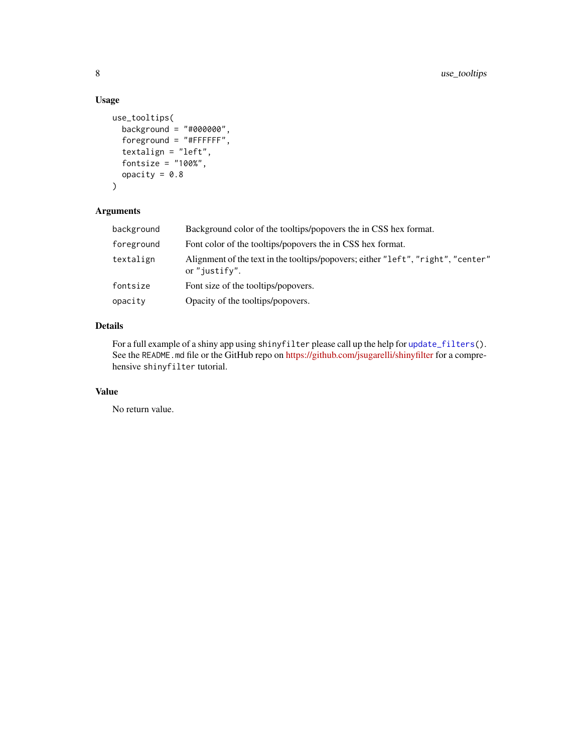# Usage

```
use_tooltips(
 background = "#000000",
 foreground = "#FFFFFF",
  textalign = "left",
  fontsize = "100%",
 opacity = 0.8\mathcal{L}
```
# Arguments

| background | Background color of the tooltips/popovers the in CSS hex format.                                  |
|------------|---------------------------------------------------------------------------------------------------|
| foreground | Font color of the tooltips/popovers the in CSS hex format.                                        |
| textalign  | Alignment of the text in the tooltips/popovers; either "left", "right", "center"<br>or "justify". |
| fontsize   | Font size of the tooltips/popovers.                                                               |
| opacity    | Opacity of the tooltips/popovers.                                                                 |

# Details

For a full example of a shiny app using shinyfilter please call up the help for [update\\_filters\(](#page-2-1)). See the README.md file or the GitHub repo on <https://github.com/jsugarelli/shinyfilter> for a comprehensive shinyfilter tutorial.

# Value

No return value.

<span id="page-7-0"></span>